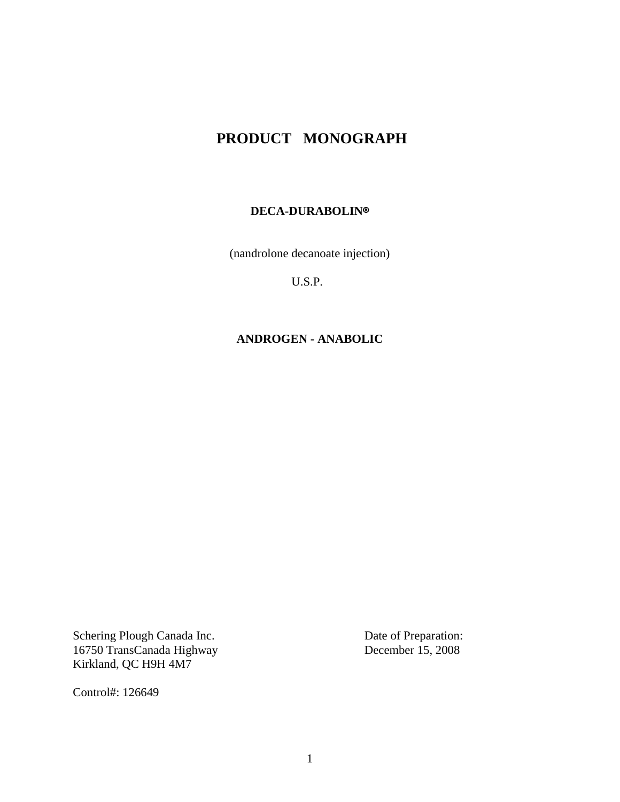# **PRODUCT MONOGRAPH**

#### **DECA-DURABOLIN<sup>®</sup>**

(nandrolone decanoate injection)

U.S.P.

#### **ANDROGEN - ANABOLIC**

Schering Plough Canada Inc. Date of Preparation: 16750 TransCanada Highway Kirkland, QC H9H 4M7

Control#: 126649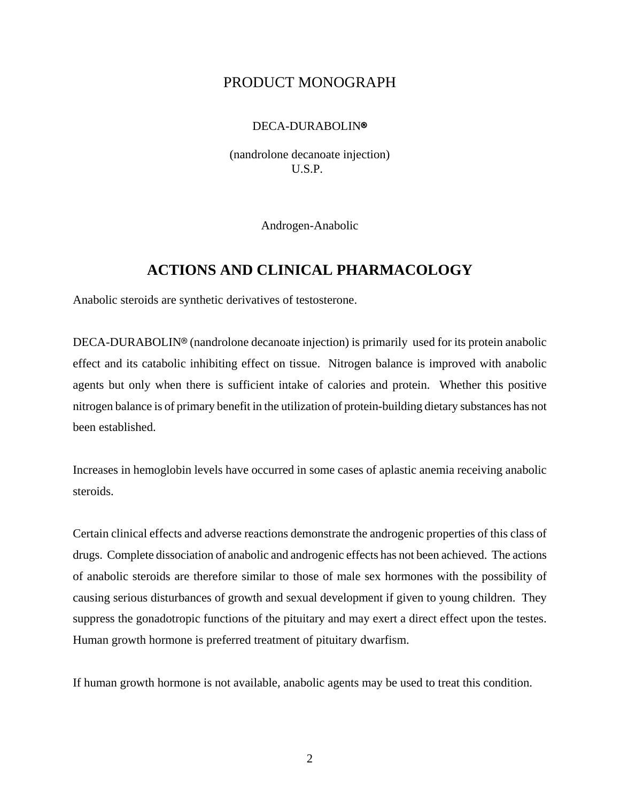## PRODUCT MONOGRAPH

#### DECA-DURABOLIN<sup>®</sup>

 (nandrolone decanoate injection) U.S.P.

Androgen-Anabolic

### **ACTIONS AND CLINICAL PHARMACOLOGY**

Anabolic steroids are synthetic derivatives of testosterone.

 $DECA-DURABOLIN<sup>®</sup>$  (nandrolone decanoate injection) is primarily used for its protein anabolic effect and its catabolic inhibiting effect on tissue. Nitrogen balance is improved with anabolic agents but only when there is sufficient intake of calories and protein. Whether this positive nitrogen balance is of primary benefit in the utilization of protein-building dietary substances has not been established.

Increases in hemoglobin levels have occurred in some cases of aplastic anemia receiving anabolic steroids.

Certain clinical effects and adverse reactions demonstrate the androgenic properties of this class of drugs. Complete dissociation of anabolic and androgenic effects has not been achieved. The actions of anabolic steroids are therefore similar to those of male sex hormones with the possibility of causing serious disturbances of growth and sexual development if given to young children. They suppress the gonadotropic functions of the pituitary and may exert a direct effect upon the testes. Human growth hormone is preferred treatment of pituitary dwarfism.

If human growth hormone is not available, anabolic agents may be used to treat this condition.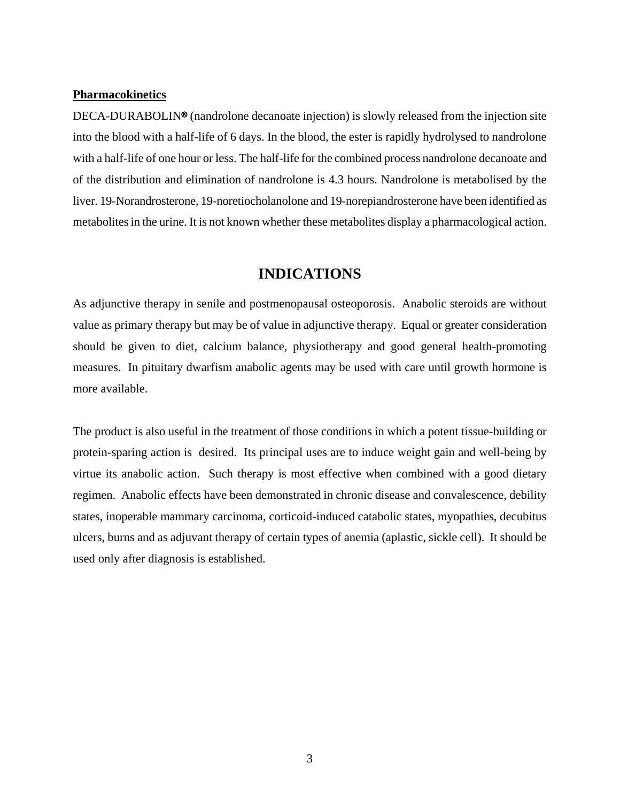#### **Pharmacokinetics**

DECA-DURABOLIN<sup>®</sup> (nandrolone decanoate injection) is slowly released from the injection site into the blood with a half-life of 6 days. In the blood, the ester is rapidly hydrolysed to nandrolone with a half-life of one hour or less. The half-life for the combined process nandrolone decanoate and of the distribution and elimination of nandrolone is 4.3 hours. Nandrolone is metabolised by the liver. 19-Norandrosterone, 19-noretiocholanolone and 19-norepiandrosterone have been identified as metabolites in the urine. It is not known whether these metabolites display a pharmacological action.

### **INDICATIONS**

As adjunctive therapy in senile and postmenopausal osteoporosis. Anabolic steroids are without value as primary therapy but may be of value in adjunctive therapy. Equal or greater consideration should be given to diet, calcium balance, physiotherapy and good general health-promoting measures. In pituitary dwarfism anabolic agents may be used with care until growth hormone is more available.

The product is also useful in the treatment of those conditions in which a potent tissue-building or protein-sparing action is desired. Its principal uses are to induce weight gain and well-being by virtue its anabolic action. Such therapy is most effective when combined with a good dietary regimen. Anabolic effects have been demonstrated in chronic disease and convalescence, debility states, inoperable mammary carcinoma, corticoid-induced catabolic states, myopathies, decubitus ulcers, burns and as adjuvant therapy of certain types of anemia (aplastic, sickle cell). It should be used only after diagnosis is established.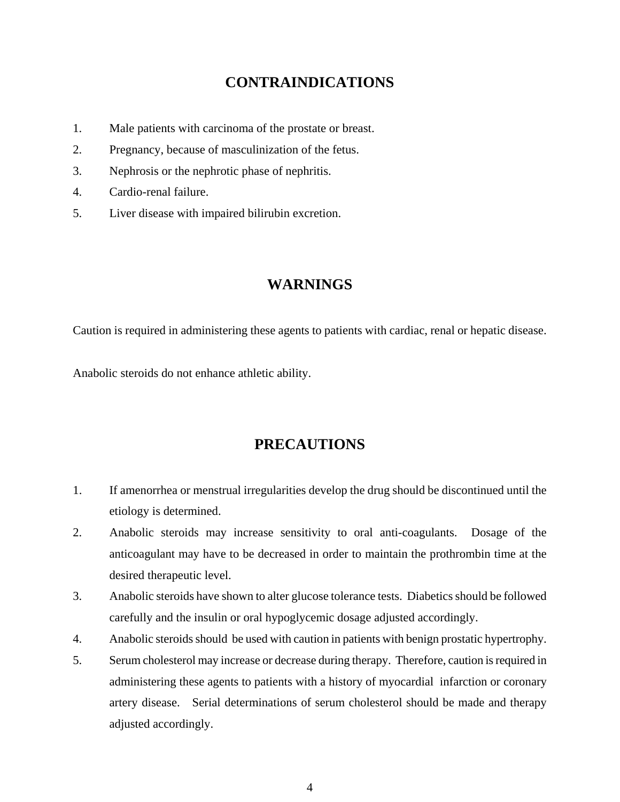# **CONTRAINDICATIONS**

- 1. Male patients with carcinoma of the prostate or breast.
- 2. Pregnancy, because of masculinization of the fetus.
- 3. Nephrosis or the nephrotic phase of nephritis.
- 4. Cardio-renal failure.
- 5. Liver disease with impaired bilirubin excretion.

### **WARNINGS**

Caution is required in administering these agents to patients with cardiac, renal or hepatic disease.

Anabolic steroids do not enhance athletic ability.

### **PRECAUTIONS**

- 1. If amenorrhea or menstrual irregularities develop the drug should be discontinued until the etiology is determined.
- 2. Anabolic steroids may increase sensitivity to oral anti-coagulants. Dosage of the anticoagulant may have to be decreased in order to maintain the prothrombin time at the desired therapeutic level.
- 3. Anabolic steroids have shown to alter glucose tolerance tests. Diabetics should be followed carefully and the insulin or oral hypoglycemic dosage adjusted accordingly.
- 4. Anabolic steroids should be used with caution in patients with benign prostatic hypertrophy.
- 5. Serum cholesterol may increase or decrease during therapy. Therefore, caution is required in administering these agents to patients with a history of myocardial infarction or coronary artery disease. Serial determinations of serum cholesterol should be made and therapy adjusted accordingly.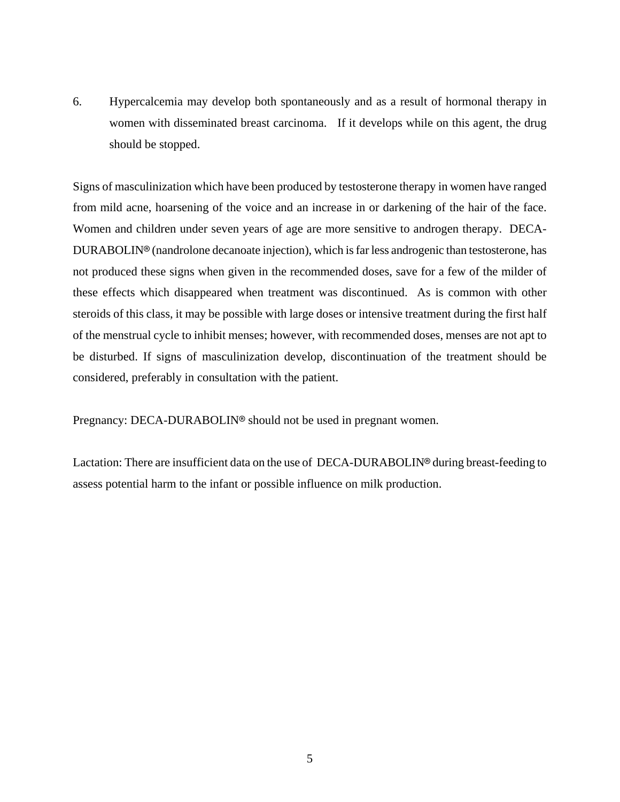6. Hypercalcemia may develop both spontaneously and as a result of hormonal therapy in women with disseminated breast carcinoma. If it develops while on this agent, the drug should be stopped.

Signs of masculinization which have been produced by testosterone therapy in women have ranged from mild acne, hoarsening of the voice and an increase in or darkening of the hair of the face. Women and children under seven years of age are more sensitive to androgen therapy. DECA-DURABOLIN<sup>®</sup> (nandrolone decanoate injection), which is far less androgenic than testosterone, has not produced these signs when given in the recommended doses, save for a few of the milder of these effects which disappeared when treatment was discontinued. As is common with other steroids of this class, it may be possible with large doses or intensive treatment during the first half of the menstrual cycle to inhibit menses; however, with recommended doses, menses are not apt to be disturbed. If signs of masculinization develop, discontinuation of the treatment should be considered, preferably in consultation with the patient.

Pregnancy: DECA-DURABOLIN<sup>®</sup> should not be used in pregnant women.

Lactation: There are insufficient data on the use of DECA-DURABOLIN<sup>®</sup> during breast-feeding to assess potential harm to the infant or possible influence on milk production.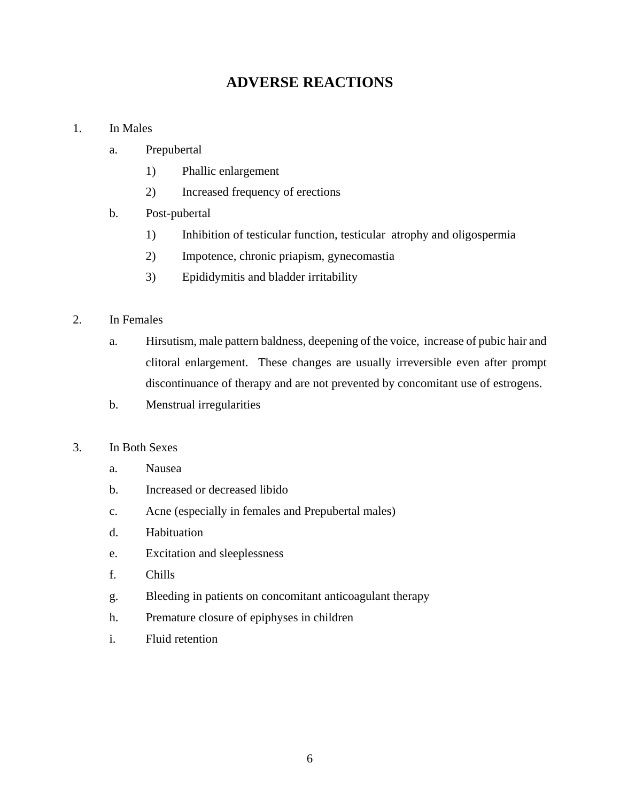# **ADVERSE REACTIONS**

#### 1. In Males

- a. Prepubertal
	- 1) Phallic enlargement
	- 2) Increased frequency of erections
- b. Post-pubertal
	- 1) Inhibition of testicular function, testicular atrophy and oligospermia
	- 2) Impotence, chronic priapism, gynecomastia
	- 3) Epididymitis and bladder irritability

#### 2. In Females

- a. Hirsutism, male pattern baldness, deepening of the voice, increase of pubic hair and clitoral enlargement. These changes are usually irreversible even after prompt discontinuance of therapy and are not prevented by concomitant use of estrogens.
- b. Menstrual irregularities
- 3. In Both Sexes
	- a. Nausea
	- b. Increased or decreased libido
	- c. Acne (especially in females and Prepubertal males)
	- d. Habituation
	- e. Excitation and sleeplessness
	- f. Chills
	- g. Bleeding in patients on concomitant anticoagulant therapy
	- h. Premature closure of epiphyses in children
	- i. Fluid retention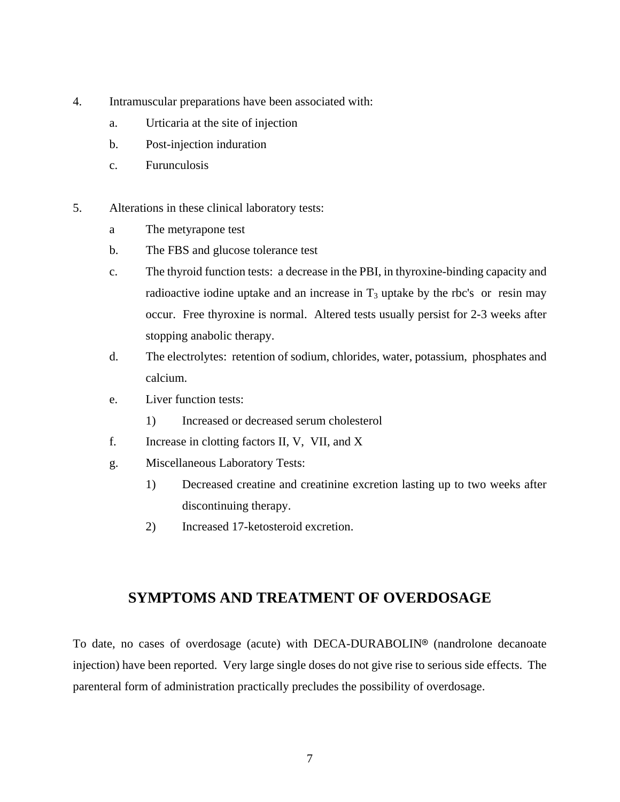- 4. Intramuscular preparations have been associated with:
	- a. Urticaria at the site of injection
	- b. Post-injection induration
	- c. Furunculosis
- 5. Alterations in these clinical laboratory tests:
	- a The metyrapone test
	- b. The FBS and glucose tolerance test
	- c. The thyroid function tests: a decrease in the PBI, in thyroxine-binding capacity and radioactive iodine uptake and an increase in  $T_3$  uptake by the rbc's or resin may occur. Free thyroxine is normal. Altered tests usually persist for 2-3 weeks after stopping anabolic therapy.
	- d. The electrolytes: retention of sodium, chlorides, water, potassium, phosphates and calcium.
	- e. Liver function tests:
		- 1) Increased or decreased serum cholesterol
	- f. Increase in clotting factors II, V, VII, and X
	- g. Miscellaneous Laboratory Tests:
		- 1) Decreased creatine and creatinine excretion lasting up to two weeks after discontinuing therapy.
		- 2) Increased 17-ketosteroid excretion.

## **SYMPTOMS AND TREATMENT OF OVERDOSAGE**

To date, no cases of overdosage (acute) with DECA-DURABOLIN<sup>®</sup> (nandrolone decanoate injection) have been reported. Very large single doses do not give rise to serious side effects. The parenteral form of administration practically precludes the possibility of overdosage.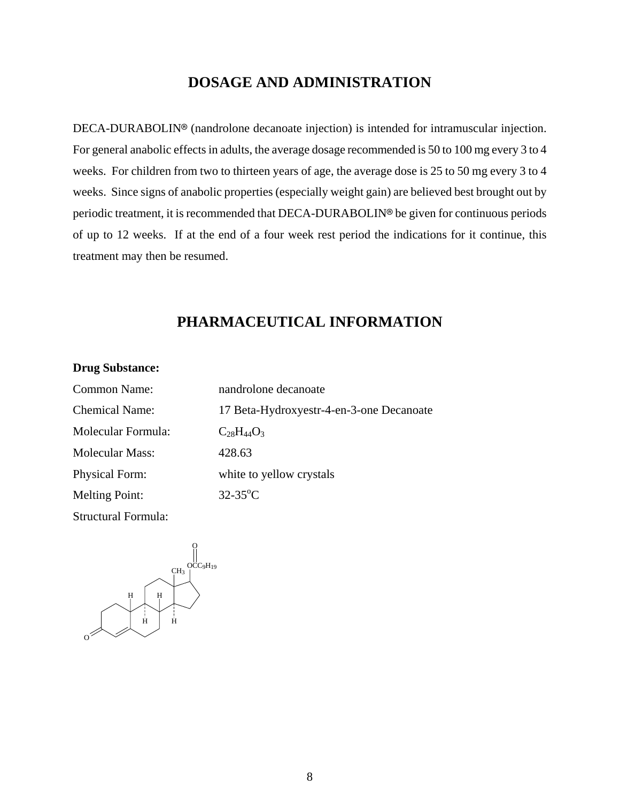# **DOSAGE AND ADMINISTRATION**

DECA-DURABOLIN<sup>®</sup> (nandrolone decanoate injection) is intended for intramuscular injection. For general anabolic effects in adults, the average dosage recommended is 50 to 100 mg every 3 to 4 weeks. For children from two to thirteen years of age, the average dose is 25 to 50 mg every 3 to 4 weeks. Since signs of anabolic properties (especially weight gain) are believed best brought out by periodic treatment, it is recommended that DECA-DURABOLIN<sup>®</sup> be given for continuous periods of up to 12 weeks. If at the end of a four week rest period the indications for it continue, this treatment may then be resumed.

# **PHARMACEUTICAL INFORMATION**

#### **Drug Substance:**

| <b>Common Name:</b>    | nandrolone decanoate                     |
|------------------------|------------------------------------------|
| <b>Chemical Name:</b>  | 17 Beta-Hydroxyestr-4-en-3-one Decanoate |
| Molecular Formula:     | $C_{28}H_{44}O_3$                        |
| <b>Molecular Mass:</b> | 428.63                                   |
| <b>Physical Form:</b>  | white to yellow crystals                 |
| <b>Melting Point:</b>  | $32-35$ °C                               |
| Structural Formula:    |                                          |

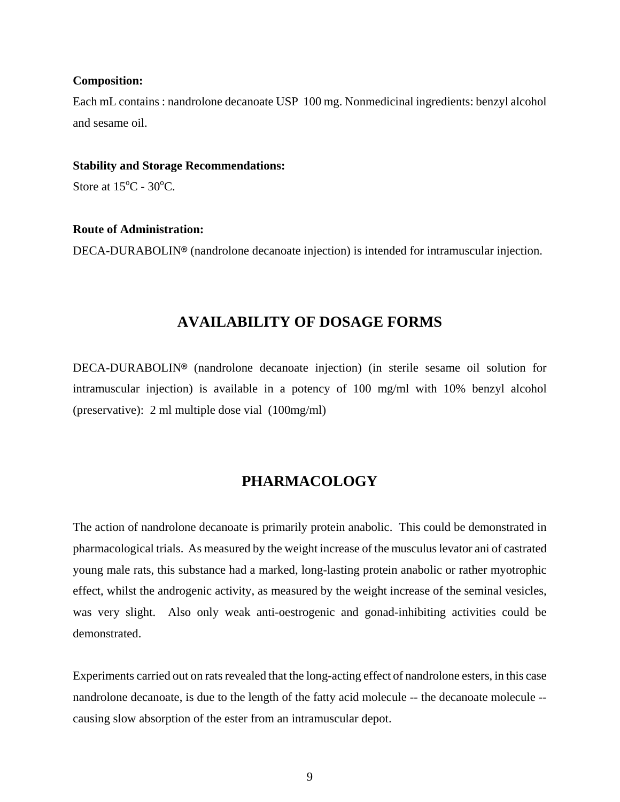#### **Composition:**

Each mL contains : nandrolone decanoate USP 100 mg. Nonmedicinal ingredients: benzyl alcohol and sesame oil.

#### **Stability and Storage Recommendations:**

Store at  $15^{\circ}$ C - 30<sup>°</sup>C.

#### **Route of Administration:**

DECA-DURABOLIN<sup>®</sup> (nandrolone decanoate injection) is intended for intramuscular injection.

## **AVAILABILITY OF DOSAGE FORMS**

DECA-DURABOLIN<sup>®</sup> (nandrolone decanoate injection) (in sterile sesame oil solution for intramuscular injection) is available in a potency of 100 mg/ml with 10% benzyl alcohol (preservative): 2 ml multiple dose vial (100mg/ml)

## **PHARMACOLOGY**

The action of nandrolone decanoate is primarily protein anabolic. This could be demonstrated in pharmacological trials. As measured by the weight increase of the musculus levator ani of castrated young male rats, this substance had a marked, long-lasting protein anabolic or rather myotrophic effect, whilst the androgenic activity, as measured by the weight increase of the seminal vesicles, was very slight. Also only weak anti-oestrogenic and gonad-inhibiting activities could be demonstrated.

Experiments carried out on rats revealed that the long-acting effect of nandrolone esters, in this case nandrolone decanoate, is due to the length of the fatty acid molecule -- the decanoate molecule - causing slow absorption of the ester from an intramuscular depot.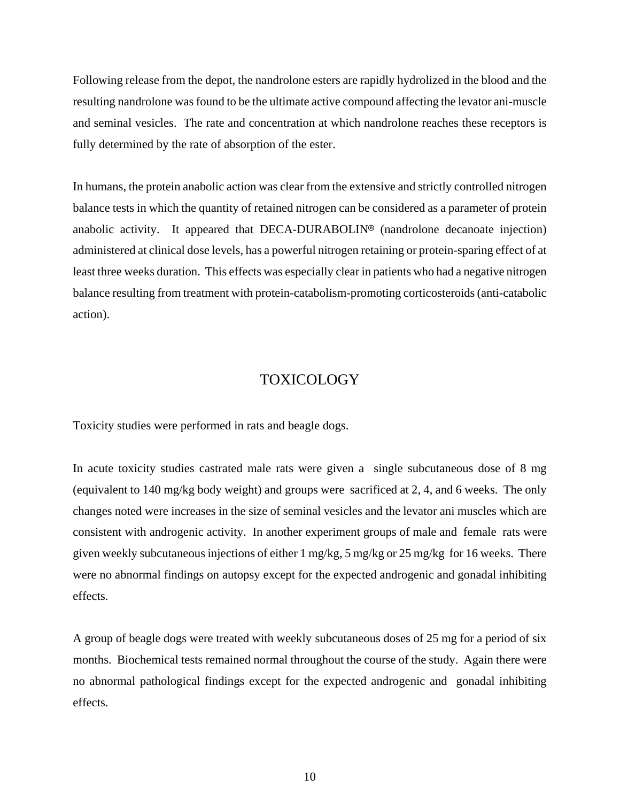Following release from the depot, the nandrolone esters are rapidly hydrolized in the blood and the resulting nandrolone was found to be the ultimate active compound affecting the levator ani-muscle and seminal vesicles. The rate and concentration at which nandrolone reaches these receptors is fully determined by the rate of absorption of the ester.

In humans, the protein anabolic action was clear from the extensive and strictly controlled nitrogen balance tests in which the quantity of retained nitrogen can be considered as a parameter of protein anabolic activity. It appeared that  $DECA-DURABOLIN<sup>®</sup>$  (nandrolone decanoate injection) administered at clinical dose levels, has a powerful nitrogen retaining or protein-sparing effect of at least three weeks duration. This effects was especially clear in patients who had a negative nitrogen balance resulting from treatment with protein-catabolism-promoting corticosteroids (anti-catabolic action).

### TOXICOLOGY

Toxicity studies were performed in rats and beagle dogs.

In acute toxicity studies castrated male rats were given a single subcutaneous dose of 8 mg (equivalent to 140 mg/kg body weight) and groups were sacrificed at 2, 4, and 6 weeks. The only changes noted were increases in the size of seminal vesicles and the levator ani muscles which are consistent with androgenic activity. In another experiment groups of male and female rats were given weekly subcutaneous injections of either 1 mg/kg, 5 mg/kg or 25 mg/kg for 16 weeks. There were no abnormal findings on autopsy except for the expected androgenic and gonadal inhibiting effects.

A group of beagle dogs were treated with weekly subcutaneous doses of 25 mg for a period of six months. Biochemical tests remained normal throughout the course of the study. Again there were no abnormal pathological findings except for the expected androgenic and gonadal inhibiting effects.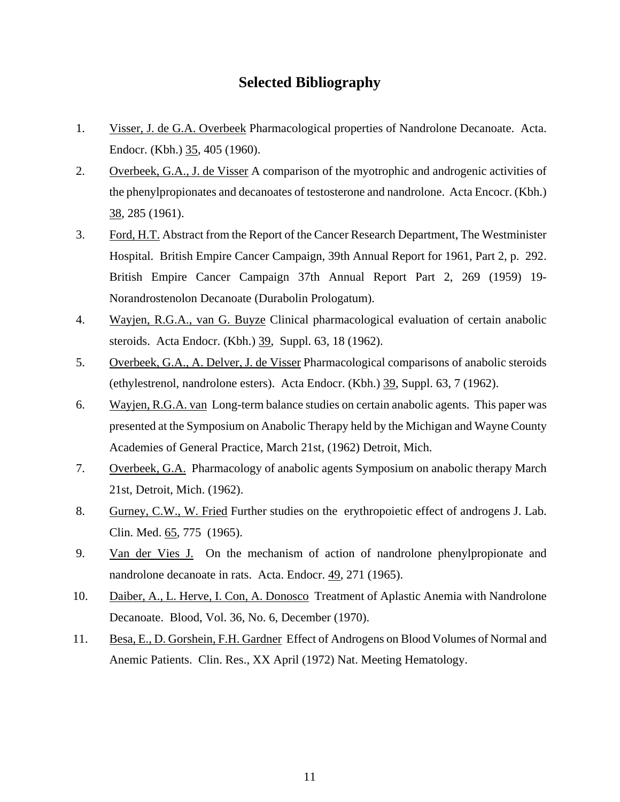## **Selected Bibliography**

- 1. Visser, J. de G.A. Overbeek Pharmacological properties of Nandrolone Decanoate. Acta. Endocr. (Kbh.) 35, 405 (1960).
- 2. Overbeek, G.A., J. de Visser A comparison of the myotrophic and androgenic activities of the phenylpropionates and decanoates of testosterone and nandrolone. Acta Encocr. (Kbh.) 38, 285 (1961).
- 3. Ford, H.T. Abstract from the Report of the Cancer Research Department, The Westminister Hospital. British Empire Cancer Campaign, 39th Annual Report for 1961, Part 2, p. 292. British Empire Cancer Campaign 37th Annual Report Part 2, 269 (1959) 19- Norandrostenolon Decanoate (Durabolin Prologatum).
- 4. Wayjen, R.G.A., van G. Buyze Clinical pharmacological evaluation of certain anabolic steroids. Acta Endocr. (Kbh.) 39, Suppl. 63, 18 (1962).
- 5. Overbeek, G.A., A. Delver, J. de Visser Pharmacological comparisons of anabolic steroids (ethylestrenol, nandrolone esters). Acta Endocr. (Kbh.) 39, Suppl. 63, 7 (1962).
- 6. Wayjen, R.G.A. van Long-term balance studies on certain anabolic agents. This paper was presented at the Symposium on Anabolic Therapy held by the Michigan and Wayne County Academies of General Practice, March 21st, (1962) Detroit, Mich.
- 7. Overbeek, G.A. Pharmacology of anabolic agents Symposium on anabolic therapy March 21st, Detroit, Mich. (1962).
- 8. Gurney, C.W., W. Fried Further studies on the erythropoietic effect of androgens J. Lab. Clin. Med. 65, 775 (1965).
- 9. Van der Vies J. On the mechanism of action of nandrolone phenylpropionate and nandrolone decanoate in rats. Acta. Endocr. 49, 271 (1965).
- 10. Daiber, A., L. Herve, I. Con, A. Donosco Treatment of Aplastic Anemia with Nandrolone Decanoate. Blood, Vol. 36, No. 6, December (1970).
- 11. Besa, E., D. Gorshein, F.H. Gardner Effect of Androgens on Blood Volumes of Normal and Anemic Patients. Clin. Res., XX April (1972) Nat. Meeting Hematology.